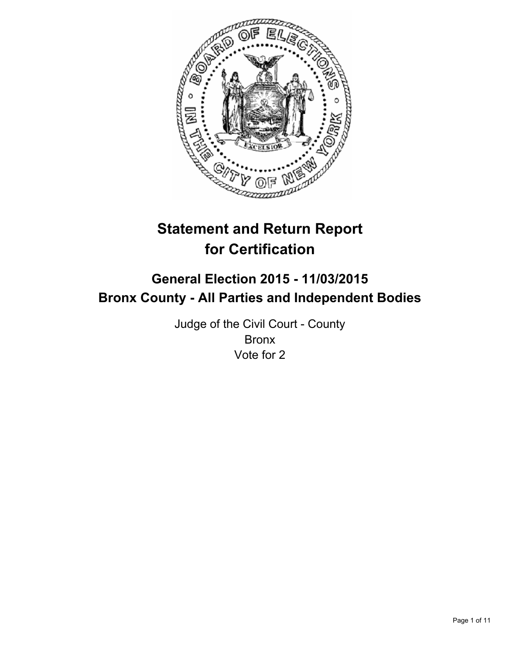

# **Statement and Return Report for Certification**

# **General Election 2015 - 11/03/2015 Bronx County - All Parties and Independent Bodies**

Judge of the Civil Court - County Bronx Vote for 2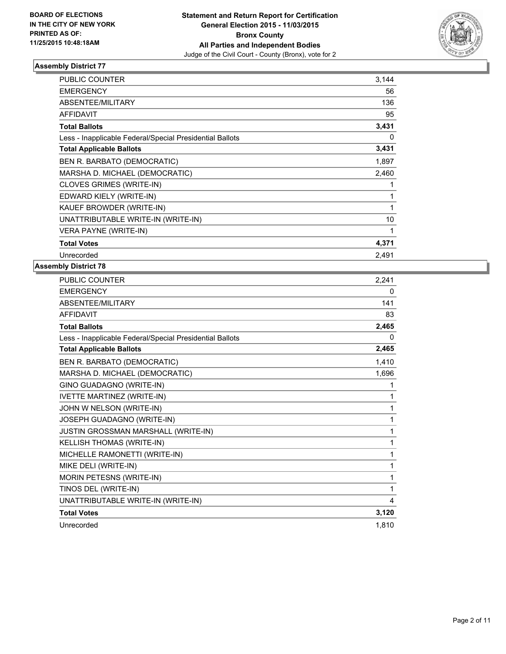

| PUBLIC COUNTER                                           | 3,144 |
|----------------------------------------------------------|-------|
| <b>EMERGENCY</b>                                         | 56    |
| ABSENTEE/MILITARY                                        | 136   |
| <b>AFFIDAVIT</b>                                         | 95    |
| <b>Total Ballots</b>                                     | 3,431 |
| Less - Inapplicable Federal/Special Presidential Ballots | 0     |
| <b>Total Applicable Ballots</b>                          | 3,431 |
| BEN R. BARBATO (DEMOCRATIC)                              | 1,897 |
| MARSHA D. MICHAEL (DEMOCRATIC)                           | 2,460 |
| CLOVES GRIMES (WRITE-IN)                                 |       |
| EDWARD KIELY (WRITE-IN)                                  | 1     |
| KAUEF BROWDER (WRITE-IN)                                 | 1     |
| UNATTRIBUTABLE WRITE-IN (WRITE-IN)                       | 10    |
| VERA PAYNE (WRITE-IN)                                    | 1     |
| <b>Total Votes</b>                                       | 4,371 |
| Unrecorded                                               | 2,491 |

| PUBLIC COUNTER                                           | 2,241 |
|----------------------------------------------------------|-------|
| <b>EMERGENCY</b>                                         | 0     |
| ABSENTEE/MILITARY                                        | 141   |
| <b>AFFIDAVIT</b>                                         | 83    |
| <b>Total Ballots</b>                                     | 2,465 |
| Less - Inapplicable Federal/Special Presidential Ballots | 0     |
| <b>Total Applicable Ballots</b>                          | 2,465 |
| BEN R. BARBATO (DEMOCRATIC)                              | 1,410 |
| MARSHA D. MICHAEL (DEMOCRATIC)                           | 1,696 |
| GINO GUADAGNO (WRITE-IN)                                 | 1     |
| IVETTE MARTINEZ (WRITE-IN)                               | 1     |
| JOHN W NELSON (WRITE-IN)                                 | 1     |
| JOSEPH GUADAGNO (WRITE-IN)                               | 1     |
| JUSTIN GROSSMAN MARSHALL (WRITE-IN)                      | 1     |
| <b>KELLISH THOMAS (WRITE-IN)</b>                         | 1     |
| MICHELLE RAMONETTI (WRITE-IN)                            | 1     |
| MIKE DELI (WRITE-IN)                                     | 1     |
| MORIN PETESNS (WRITE-IN)                                 | 1     |
| TINOS DEL (WRITE-IN)                                     | 1     |
| UNATTRIBUTABLE WRITE-IN (WRITE-IN)                       | 4     |
| <b>Total Votes</b>                                       | 3,120 |
| Unrecorded                                               | 1.810 |
|                                                          |       |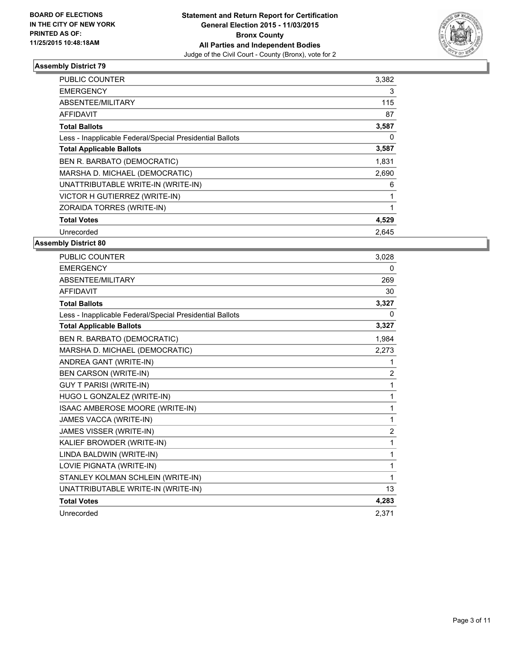

| <b>PUBLIC COUNTER</b>                                    | 3,382 |
|----------------------------------------------------------|-------|
| <b>EMERGENCY</b>                                         | 3     |
| ABSENTEE/MILITARY                                        | 115   |
| AFFIDAVIT                                                | 87    |
| <b>Total Ballots</b>                                     | 3,587 |
| Less - Inapplicable Federal/Special Presidential Ballots | 0     |
| <b>Total Applicable Ballots</b>                          | 3,587 |
| BEN R. BARBATO (DEMOCRATIC)                              | 1,831 |
| MARSHA D. MICHAEL (DEMOCRATIC)                           | 2,690 |
| UNATTRIBUTABLE WRITE-IN (WRITE-IN)                       | 6     |
| VICTOR H GUTIERREZ (WRITE-IN)                            |       |
| ZORAIDA TORRES (WRITE-IN)                                | 1     |
| <b>Total Votes</b>                                       | 4,529 |
| Unrecorded                                               | 2,645 |

| <b>PUBLIC COUNTER</b>                                    | 3,028          |
|----------------------------------------------------------|----------------|
| <b>EMERGENCY</b>                                         | 0              |
| ABSENTEE/MILITARY                                        | 269            |
| <b>AFFIDAVIT</b>                                         | 30             |
| <b>Total Ballots</b>                                     | 3,327          |
| Less - Inapplicable Federal/Special Presidential Ballots | 0              |
| <b>Total Applicable Ballots</b>                          | 3,327          |
| BEN R. BARBATO (DEMOCRATIC)                              | 1,984          |
| MARSHA D. MICHAEL (DEMOCRATIC)                           | 2,273          |
| ANDREA GANT (WRITE-IN)                                   | 1              |
| <b>BEN CARSON (WRITE-IN)</b>                             | $\overline{2}$ |
| <b>GUY T PARISI (WRITE-IN)</b>                           | 1              |
| HUGO L GONZALEZ (WRITE-IN)                               | 1              |
| ISAAC AMBEROSE MOORE (WRITE-IN)                          | 1              |
| JAMES VACCA (WRITE-IN)                                   | 1              |
| JAMES VISSER (WRITE-IN)                                  | $\overline{2}$ |
| KALIEF BROWDER (WRITE-IN)                                | 1              |
| LINDA BALDWIN (WRITE-IN)                                 | 1              |
| LOVIE PIGNATA (WRITE-IN)                                 | 1              |
| STANLEY KOLMAN SCHLEIN (WRITE-IN)                        | 1              |
| UNATTRIBUTABLE WRITE-IN (WRITE-IN)                       | 13             |
| <b>Total Votes</b>                                       | 4,283          |
| Unrecorded                                               | 2.371          |
|                                                          |                |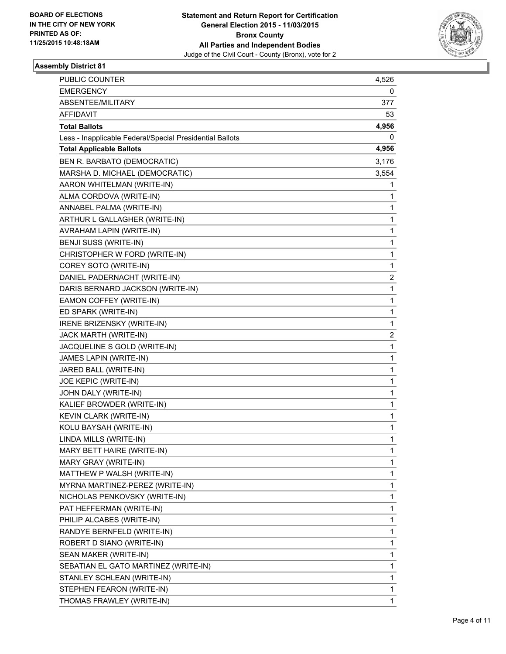

| <b>PUBLIC COUNTER</b>                                    | 4,526        |
|----------------------------------------------------------|--------------|
| <b>EMERGENCY</b>                                         | 0            |
| ABSENTEE/MILITARY                                        | 377          |
| AFFIDAVIT                                                | 53           |
| <b>Total Ballots</b>                                     | 4,956        |
| Less - Inapplicable Federal/Special Presidential Ballots | 0            |
| <b>Total Applicable Ballots</b>                          | 4,956        |
| BEN R. BARBATO (DEMOCRATIC)                              | 3,176        |
| MARSHA D. MICHAEL (DEMOCRATIC)                           | 3,554        |
| AARON WHITELMAN (WRITE-IN)                               | 1            |
| ALMA CORDOVA (WRITE-IN)                                  | 1            |
| ANNABEL PALMA (WRITE-IN)                                 | 1            |
| ARTHUR L GALLAGHER (WRITE-IN)                            | 1            |
| AVRAHAM LAPIN (WRITE-IN)                                 | 1            |
| BENJI SUSS (WRITE-IN)                                    | 1            |
| CHRISTOPHER W FORD (WRITE-IN)                            | 1            |
| COREY SOTO (WRITE-IN)                                    | 1            |
| DANIEL PADERNACHT (WRITE-IN)                             | 2            |
| DARIS BERNARD JACKSON (WRITE-IN)                         | 1            |
| EAMON COFFEY (WRITE-IN)                                  | 1            |
| ED SPARK (WRITE-IN)                                      | 1            |
| IRENE BRIZENSKY (WRITE-IN)                               | 1            |
| JACK MARTH (WRITE-IN)                                    | 2            |
| JACQUELINE S GOLD (WRITE-IN)                             | 1            |
| JAMES LAPIN (WRITE-IN)                                   | 1            |
| JARED BALL (WRITE-IN)                                    | 1            |
| JOE KEPIC (WRITE-IN)                                     | 1            |
| JOHN DALY (WRITE-IN)                                     | 1            |
| KALIEF BROWDER (WRITE-IN)                                | 1            |
| KEVIN CLARK (WRITE-IN)                                   | $\mathbf{1}$ |
| KOLU BAYSAH (WRITE-IN)                                   | 1            |
| LINDA MILLS (WRITE-IN)                                   | 1            |
| MARY BETT HAIRE (WRITE-IN)                               | 1            |
| MARY GRAY (WRITE-IN)                                     | 1            |
| MATTHEW P WALSH (WRITE-IN)                               | 1            |
| MYRNA MARTINEZ-PEREZ (WRITE-IN)                          | 1            |
| NICHOLAS PENKOVSKY (WRITE-IN)                            | 1            |
| PAT HEFFERMAN (WRITE-IN)                                 | 1            |
| PHILIP ALCABES (WRITE-IN)                                | 1            |
| RANDYE BERNFELD (WRITE-IN)                               | 1            |
| ROBERT D SIANO (WRITE-IN)                                | 1            |
| SEAN MAKER (WRITE-IN)                                    | 1            |
| SEBATIAN EL GATO MARTINEZ (WRITE-IN)                     | 1            |
| STANLEY SCHLEAN (WRITE-IN)                               | 1            |
| STEPHEN FEARON (WRITE-IN)                                | 1            |
| THOMAS FRAWLEY (WRITE-IN)                                | 1            |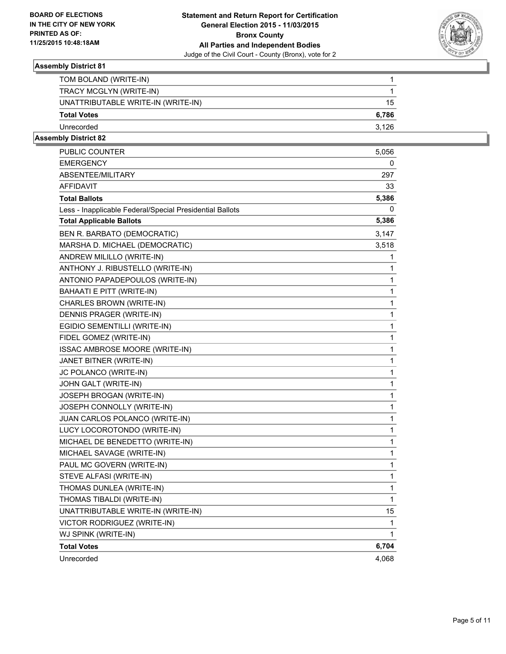

| TOM BOLAND (WRITE-IN)              |       |
|------------------------------------|-------|
| TRACY MCGLYN (WRITE-IN)            |       |
| UNATTRIBUTABLE WRITE-IN (WRITE-IN) | 15    |
| <b>Total Votes</b>                 | 6,786 |
| Unrecorded                         | 3.126 |

| PUBLIC COUNTER                                           | 5,056 |
|----------------------------------------------------------|-------|
| <b>EMERGENCY</b>                                         | 0     |
| ABSENTEE/MILITARY                                        | 297   |
| AFFIDAVIT                                                | 33    |
| <b>Total Ballots</b>                                     | 5,386 |
| Less - Inapplicable Federal/Special Presidential Ballots | 0     |
| <b>Total Applicable Ballots</b>                          | 5,386 |
| BEN R. BARBATO (DEMOCRATIC)                              | 3,147 |
| MARSHA D. MICHAEL (DEMOCRATIC)                           | 3,518 |
| ANDREW MILILLO (WRITE-IN)                                | 1     |
| ANTHONY J. RIBUSTELLO (WRITE-IN)                         | 1     |
| ANTONIO PAPADEPOULOS (WRITE-IN)                          | 1     |
| BAHAATI E PITT (WRITE-IN)                                | 1     |
| CHARLES BROWN (WRITE-IN)                                 | 1     |
| DENNIS PRAGER (WRITE-IN)                                 | 1     |
| EGIDIO SEMENTILLI (WRITE-IN)                             | 1     |
| FIDEL GOMEZ (WRITE-IN)                                   | 1     |
| ISSAC AMBROSE MOORE (WRITE-IN)                           | 1     |
| JANET BITNER (WRITE-IN)                                  | 1     |
| JC POLANCO (WRITE-IN)                                    | 1     |
| JOHN GALT (WRITE-IN)                                     | 1     |
| JOSEPH BROGAN (WRITE-IN)                                 | 1     |
| JOSEPH CONNOLLY (WRITE-IN)                               | 1     |
| JUAN CARLOS POLANCO (WRITE-IN)                           | 1     |
| LUCY LOCOROTONDO (WRITE-IN)                              | 1     |
| MICHAEL DE BENEDETTO (WRITE-IN)                          | 1     |
| MICHAEL SAVAGE (WRITE-IN)                                | 1     |
| PAUL MC GOVERN (WRITE-IN)                                | 1     |
| STEVE ALFASI (WRITE-IN)                                  | 1     |
| THOMAS DUNLEA (WRITE-IN)                                 | 1     |
| THOMAS TIBALDI (WRITE-IN)                                | 1     |
| UNATTRIBUTABLE WRITE-IN (WRITE-IN)                       | 15    |
| VICTOR RODRIGUEZ (WRITE-IN)                              | 1     |
| WJ SPINK (WRITE-IN)                                      | 1     |
| <b>Total Votes</b>                                       | 6,704 |
| Unrecorded                                               | 4,068 |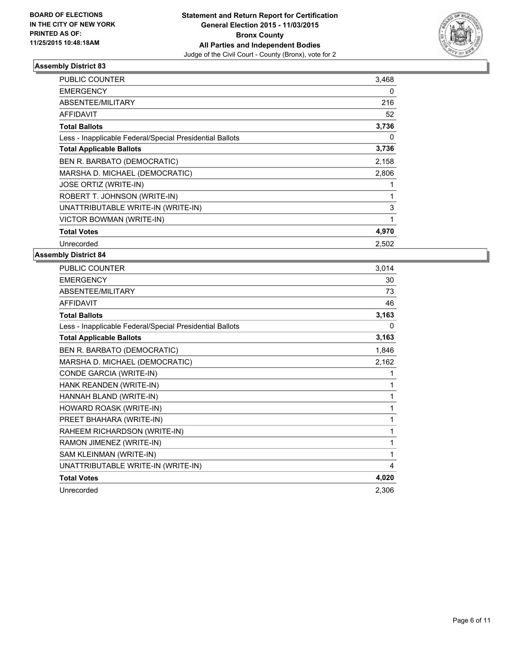

| <b>PUBLIC COUNTER</b>                                    | 3,468 |
|----------------------------------------------------------|-------|
| <b>EMERGENCY</b>                                         | 0     |
| ABSENTEE/MILITARY                                        | 216   |
| <b>AFFIDAVIT</b>                                         | 52    |
| <b>Total Ballots</b>                                     | 3,736 |
| Less - Inapplicable Federal/Special Presidential Ballots | 0     |
| <b>Total Applicable Ballots</b>                          | 3,736 |
| BEN R. BARBATO (DEMOCRATIC)                              | 2,158 |
| MARSHA D. MICHAEL (DEMOCRATIC)                           | 2,806 |
| <b>JOSE ORTIZ (WRITE-IN)</b>                             |       |
| ROBERT T. JOHNSON (WRITE-IN)                             | 1     |
| UNATTRIBUTABLE WRITE-IN (WRITE-IN)                       | 3     |
| VICTOR BOWMAN (WRITE-IN)                                 | 1     |
| <b>Total Votes</b>                                       | 4,970 |
| Unrecorded                                               | 2.502 |

| PUBLIC COUNTER                                           | 3,014 |
|----------------------------------------------------------|-------|
| <b>EMERGENCY</b>                                         | 30    |
| ABSENTEE/MILITARY                                        | 73    |
| <b>AFFIDAVIT</b>                                         | 46    |
| <b>Total Ballots</b>                                     | 3,163 |
| Less - Inapplicable Federal/Special Presidential Ballots | 0     |
| <b>Total Applicable Ballots</b>                          | 3,163 |
| BEN R. BARBATO (DEMOCRATIC)                              | 1,846 |
| MARSHA D. MICHAEL (DEMOCRATIC)                           | 2,162 |
| CONDE GARCIA (WRITE-IN)                                  | 1     |
| HANK REANDEN (WRITE-IN)                                  | 1     |
| HANNAH BLAND (WRITE-IN)                                  | 1     |
| HOWARD ROASK (WRITE-IN)                                  | 1     |
| PREET BHAHARA (WRITE-IN)                                 | 1     |
| RAHEEM RICHARDSON (WRITE-IN)                             | 1     |
| RAMON JIMENEZ (WRITE-IN)                                 | 1     |
| SAM KLEINMAN (WRITE-IN)                                  | 1     |
| UNATTRIBUTABLE WRITE-IN (WRITE-IN)                       | 4     |
| <b>Total Votes</b>                                       | 4,020 |
| Unrecorded                                               | 2,306 |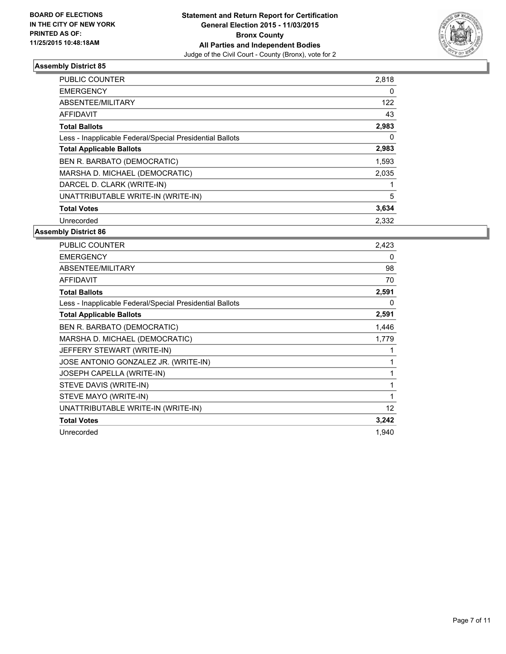

| <b>PUBLIC COUNTER</b>                                    | 2,818 |
|----------------------------------------------------------|-------|
| <b>EMERGENCY</b>                                         | 0     |
| ABSENTEE/MILITARY                                        | 122   |
| <b>AFFIDAVIT</b>                                         | 43    |
| <b>Total Ballots</b>                                     | 2,983 |
| Less - Inapplicable Federal/Special Presidential Ballots | 0     |
| <b>Total Applicable Ballots</b>                          | 2,983 |
| BEN R. BARBATO (DEMOCRATIC)                              | 1,593 |
| MARSHA D. MICHAEL (DEMOCRATIC)                           | 2,035 |
| DARCEL D. CLARK (WRITE-IN)                               |       |
| UNATTRIBUTABLE WRITE-IN (WRITE-IN)                       | 5     |
| <b>Total Votes</b>                                       | 3,634 |
| Unrecorded                                               | 2,332 |

| <b>PUBLIC COUNTER</b>                                    | 2.423 |
|----------------------------------------------------------|-------|
| <b>EMERGENCY</b>                                         | 0     |
| ABSENTEE/MILITARY                                        | 98    |
| <b>AFFIDAVIT</b>                                         | 70    |
| <b>Total Ballots</b>                                     | 2,591 |
| Less - Inapplicable Federal/Special Presidential Ballots | 0     |
| <b>Total Applicable Ballots</b>                          | 2,591 |
| BEN R. BARBATO (DEMOCRATIC)                              | 1,446 |
| MARSHA D. MICHAEL (DEMOCRATIC)                           | 1,779 |
| JEFFERY STEWART (WRITE-IN)                               | 1     |
| JOSE ANTONIO GONZALEZ JR. (WRITE-IN)                     | 1     |
| JOSEPH CAPELLA (WRITE-IN)                                | 1     |
| STEVE DAVIS (WRITE-IN)                                   | 1     |
| STEVE MAYO (WRITE-IN)                                    | 1     |
| UNATTRIBUTABLE WRITE-IN (WRITE-IN)                       | 12    |
| <b>Total Votes</b>                                       | 3,242 |
| Unrecorded                                               | 1,940 |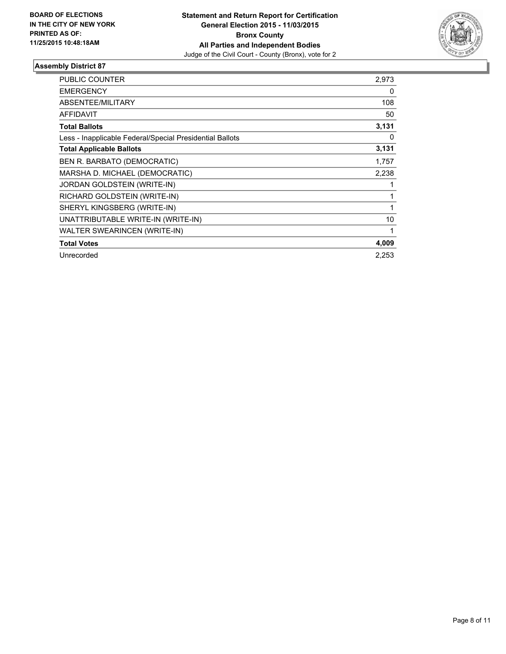

| PUBLIC COUNTER                                           | 2,973 |
|----------------------------------------------------------|-------|
| <b>EMERGENCY</b>                                         | 0     |
| <b>ABSENTEE/MILITARY</b>                                 | 108   |
| <b>AFFIDAVIT</b>                                         | 50    |
| <b>Total Ballots</b>                                     | 3,131 |
| Less - Inapplicable Federal/Special Presidential Ballots | 0     |
| <b>Total Applicable Ballots</b>                          | 3,131 |
| BEN R. BARBATO (DEMOCRATIC)                              | 1,757 |
| MARSHA D. MICHAEL (DEMOCRATIC)                           | 2,238 |
| JORDAN GOLDSTEIN (WRITE-IN)                              |       |
| RICHARD GOLDSTEIN (WRITE-IN)                             |       |
| SHERYL KINGSBERG (WRITE-IN)                              |       |
| UNATTRIBUTABLE WRITE-IN (WRITE-IN)                       | 10    |
| <b>WALTER SWEARINCEN (WRITE-IN)</b>                      |       |
| <b>Total Votes</b>                                       | 4,009 |
| Unrecorded                                               | 2,253 |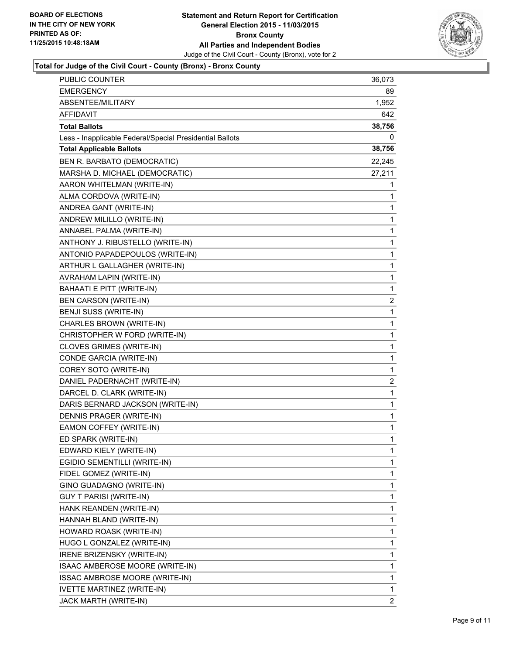

## **Total for Judge of the Civil Court - County (Bronx) - Bronx County**

| PUBLIC COUNTER                                           | 36,073         |
|----------------------------------------------------------|----------------|
| EMERGENCY                                                | 89             |
| ABSENTEE/MILITARY                                        | 1,952          |
| AFFIDAVIT                                                | 642            |
| <b>Total Ballots</b>                                     | 38,756         |
| Less - Inapplicable Federal/Special Presidential Ballots | 0              |
| <b>Total Applicable Ballots</b>                          | 38,756         |
| BEN R. BARBATO (DEMOCRATIC)                              | 22,245         |
| MARSHA D. MICHAEL (DEMOCRATIC)                           | 27,211         |
| AARON WHITELMAN (WRITE-IN)                               | 1              |
| ALMA CORDOVA (WRITE-IN)                                  | 1              |
| ANDREA GANT (WRITE-IN)                                   | 1              |
| ANDREW MILILLO (WRITE-IN)                                | 1              |
| ANNABEL PALMA (WRITE-IN)                                 | 1              |
| ANTHONY J. RIBUSTELLO (WRITE-IN)                         | 1              |
| ANTONIO PAPADEPOULOS (WRITE-IN)                          | 1              |
| ARTHUR L GALLAGHER (WRITE-IN)                            | 1              |
| AVRAHAM LAPIN (WRITE-IN)                                 | 1              |
| BAHAATI E PITT (WRITE-IN)                                | 1              |
| <b>BEN CARSON (WRITE-IN)</b>                             | 2              |
| BENJI SUSS (WRITE-IN)                                    | 1              |
| CHARLES BROWN (WRITE-IN)                                 | 1              |
| CHRISTOPHER W FORD (WRITE-IN)                            | 1              |
| CLOVES GRIMES (WRITE-IN)                                 | 1              |
| CONDE GARCIA (WRITE-IN)                                  | 1              |
| COREY SOTO (WRITE-IN)                                    | 1              |
| DANIEL PADERNACHT (WRITE-IN)                             | $\overline{2}$ |
| DARCEL D. CLARK (WRITE-IN)                               | 1              |
| DARIS BERNARD JACKSON (WRITE-IN)                         | 1              |
| DENNIS PRAGER (WRITE-IN)                                 | 1              |
| EAMON COFFEY (WRITE-IN)                                  | $\mathbf{1}$   |
| ED SPARK (WRITE-IN)                                      | $\mathbf{1}$   |
| EDWARD KIELY (WRITE-IN)                                  | 1              |
| EGIDIO SEMENTILLI (WRITE-IN)                             | 1              |
| FIDEL GOMEZ (WRITE-IN)                                   | 1              |
| GINO GUADAGNO (WRITE-IN)                                 | 1              |
| <b>GUY T PARISI (WRITE-IN)</b>                           | 1              |
| HANK REANDEN (WRITE-IN)                                  | 1              |
| HANNAH BLAND (WRITE-IN)                                  | 1              |
| HOWARD ROASK (WRITE-IN)                                  | 1              |
| HUGO L GONZALEZ (WRITE-IN)                               | 1              |
| IRENE BRIZENSKY (WRITE-IN)                               | 1              |
| ISAAC AMBEROSE MOORE (WRITE-IN)                          | 1              |
| ISSAC AMBROSE MOORE (WRITE-IN)                           | 1              |
| <b>IVETTE MARTINEZ (WRITE-IN)</b>                        | 1              |
| JACK MARTH (WRITE-IN)                                    | $\mathbf{2}$   |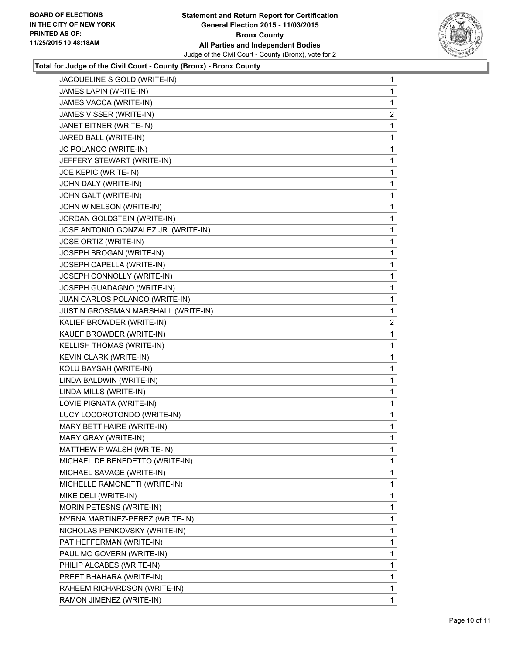

#### **Total for Judge of the Civil Court - County (Bronx) - Bronx County**

| JACQUELINE S GOLD (WRITE-IN)         | 1              |
|--------------------------------------|----------------|
| JAMES LAPIN (WRITE-IN)               | 1              |
| JAMES VACCA (WRITE-IN)               | 1              |
| JAMES VISSER (WRITE-IN)              | $\overline{2}$ |
| JANET BITNER (WRITE-IN)              | 1              |
| JARED BALL (WRITE-IN)                | 1              |
| JC POLANCO (WRITE-IN)                | 1              |
| JEFFERY STEWART (WRITE-IN)           | 1              |
| JOE KEPIC (WRITE-IN)                 | 1              |
| JOHN DALY (WRITE-IN)                 | 1              |
| JOHN GALT (WRITE-IN)                 | 1              |
| JOHN W NELSON (WRITE-IN)             | 1              |
| JORDAN GOLDSTEIN (WRITE-IN)          | 1              |
| JOSE ANTONIO GONZALEZ JR. (WRITE-IN) | 1              |
| JOSE ORTIZ (WRITE-IN)                | 1              |
| JOSEPH BROGAN (WRITE-IN)             | 1              |
| JOSEPH CAPELLA (WRITE-IN)            | 1              |
| JOSEPH CONNOLLY (WRITE-IN)           | 1              |
| JOSEPH GUADAGNO (WRITE-IN)           | 1              |
| JUAN CARLOS POLANCO (WRITE-IN)       | 1              |
| JUSTIN GROSSMAN MARSHALL (WRITE-IN)  | 1              |
| KALIEF BROWDER (WRITE-IN)            | 2              |
| KAUEF BROWDER (WRITE-IN)             | 1              |
| KELLISH THOMAS (WRITE-IN)            | 1              |
| KEVIN CLARK (WRITE-IN)               | 1              |
| KOLU BAYSAH (WRITE-IN)               | 1              |
| LINDA BALDWIN (WRITE-IN)             | 1              |
| LINDA MILLS (WRITE-IN)               | 1              |
| LOVIE PIGNATA (WRITE-IN)             | 1              |
| LUCY LOCOROTONDO (WRITE-IN)          | 1              |
| MARY BETT HAIRE (WRITE-IN)           | 1              |
| MARY GRAY (WRITE-IN)                 | 1              |
| MATTHEW P WALSH (WRITE-IN)           | 1              |
| MICHAEL DE BENEDETTO (WRITE-IN)      | 1              |
| MICHAEL SAVAGE (WRITE-IN)            | 1              |
| MICHELLE RAMONETTI (WRITE-IN)        | 1              |
| MIKE DELI (WRITE-IN)                 | 1              |
| MORIN PETESNS (WRITE-IN)             | 1              |
| MYRNA MARTINEZ-PEREZ (WRITE-IN)      | 1              |
| NICHOLAS PENKOVSKY (WRITE-IN)        | 1              |
| PAT HEFFERMAN (WRITE-IN)             | 1              |
| PAUL MC GOVERN (WRITE-IN)            | 1              |
| PHILIP ALCABES (WRITE-IN)            | 1              |
| PREET BHAHARA (WRITE-IN)             | 1              |
| RAHEEM RICHARDSON (WRITE-IN)         | 1              |
| RAMON JIMENEZ (WRITE-IN)             | $\mathbf{1}$   |